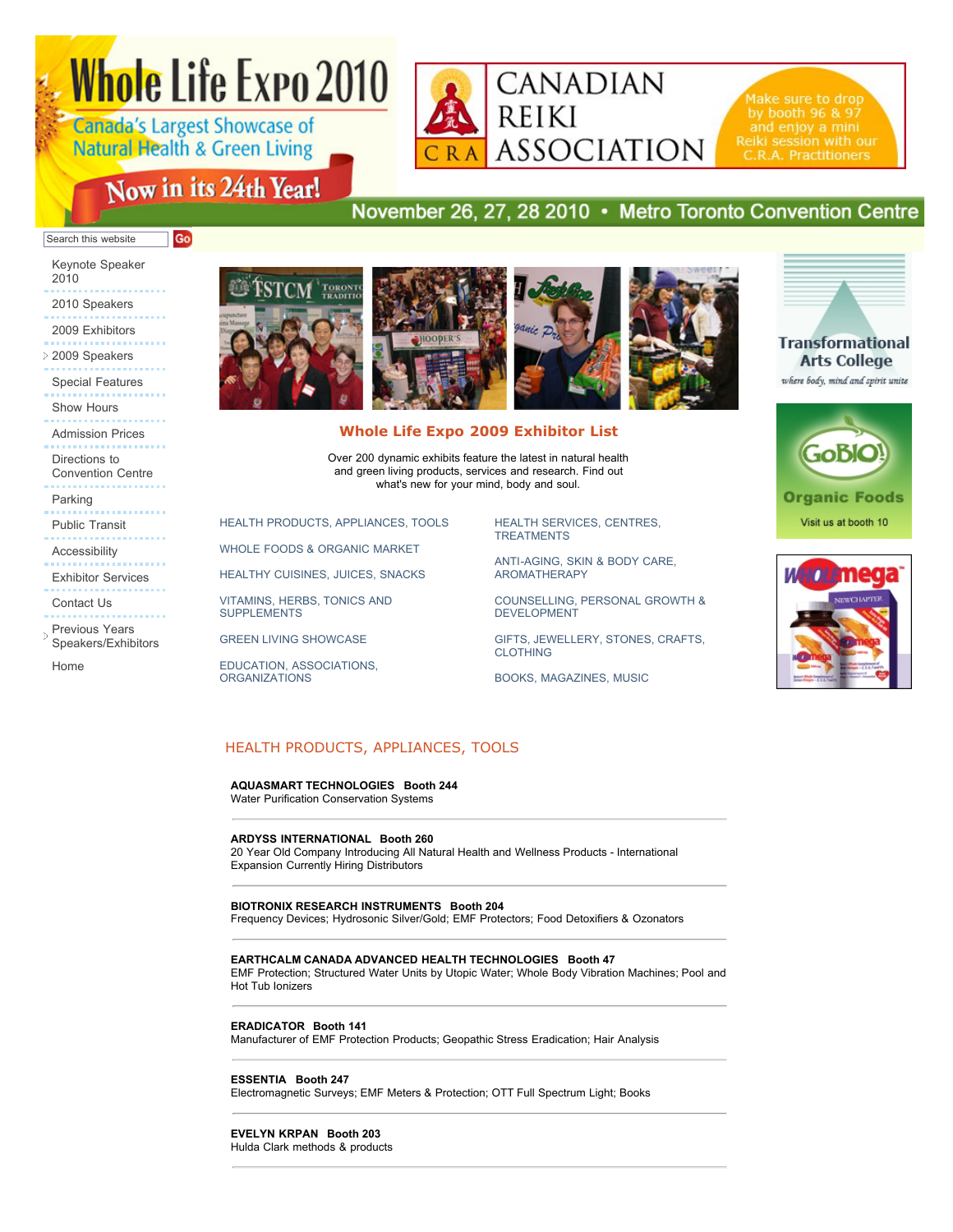# **Whole Life Expo 2010**

**Canada's Largest Showcase of Natural Health & Green Living** 

Go

# Now in its 24th Year!

# November 26, 27, 28 2010 • Metro Toronto Convention Centre

CANADIAN

**ASSOCIATION** 

**REIKI** 

#### Search this website

[Keynote Speaker](http://www.wholelifeexpo.ca/keynote.php) 2010

- [2010 Speakers](http://www.wholelifeexpo.ca/speakers.php)
- [2009 Exhibitors](http://www.wholelifeexpo.ca/exhibitors.php)
- [2009 Speakers](javascript:void(0);) [Special Features](http://www.wholelifeexpo.ca/features.php)
- [Show Hours](http://www.wholelifeexpo.ca/hours.php)
- [Admission Prices](http://www.wholelifeexpo.ca/hours.php#prices) Directions to
- [Convention Centre](http://www.wholelifeexpo.ca/hours.php#directions)
- [Parking](http://www.wholelifeexpo.ca/hours.php#parking)
- [Public Transit](http://www.wholelifeexpo.ca/hours.php#publicTransit)
- [Accessibility](http://www.wholelifeexpo.ca/hours.php#accessibility)
- [Exhibitor Services](http://www.wholelifeexpo.ca/exServices.php)
- [Contact Us](http://www.wholelifeexpo.ca/contact.php)
- Previous Years [Speakers/Exhibitors](javascript:void(0);)

[Home](http://www.wholelifeexpo.ca/index.php)



## **Whole Life Expo 2009 Exhibitor List**

Over 200 dynamic exhibits feature the latest in natural health and green living products, services and research. Find out what's new for your mind, body and soul.

[HEALTH PRODUCTS, APPLIANCES, TOOLS](http://www.wholelifeexpo.ca/exhibitors.php#11)

[WHOLE FOODS & ORGANIC MARKET](http://www.wholelifeexpo.ca/exhibitors.php#12)

[HEALTHY CUISINES, JUICES, SNACKS](http://www.wholelifeexpo.ca/exhibitors.php#13)

[VITAMINS, HERBS, TONICS AND](http://www.wholelifeexpo.ca/exhibitors.php#14) SUPPLEMENTS

[GREEN LIVING SHOWCASE](http://www.wholelifeexpo.ca/exhibitors.php#15)

[EDUCATION, ASSOCIATIONS,](http://www.wholelifeexpo.ca/exhibitors.php#17) **ORGANIZATIONS** 

[HEALTH SERVICES, CENTRES,](http://www.wholelifeexpo.ca/exhibitors.php#18) TREATMENTS

[ANTI-AGING, SKIN & BODY CARE,](http://www.wholelifeexpo.ca/exhibitors.php#19) AROMATHERAPY

[COUNSELLING, PERSONAL GROWTH &](http://www.wholelifeexpo.ca/exhibitors.php#20) DEVELOPMENT

[GIFTS, JEWELLERY, STONES, CRAFTS,](http://www.wholelifeexpo.ca/exhibitors.php#21) CLOTHING

[BOOKS, MAGAZINES, MUSIC](http://www.wholelifeexpo.ca/exhibitors.php#22)



Make sure to drop

Reiki session with our

by booth 96 & 97

where body, mind and spirit unite



Visit us at booth 10



## HEALTH PRODUCTS, APPLIANCES, TOOLS

**AQUASMART TECHNOLOGIES Booth 244** Water Purification Conservation Systems

#### **ARDYSS INTERNATIONAL Booth 260**

20 Year Old Company Introducing All Natural Health and Wellness Products - International Expansion Currently Hiring Distributors

**BIOTRONIX RESEARCH INSTRUMENTS Booth 204** Frequency Devices; Hydrosonic Silver/Gold; EMF Protectors; Food Detoxifiers & Ozonators

**EARTHCALM CANADA ADVANCED HEALTH TECHNOLOGIES Booth 47**

EMF Protection; Structured Water Units by Utopic Water; Whole Body Vibration Machines; Pool and Hot Tub Ionizers

**ERADICATOR Booth 141**

Manufacturer of EMF Protection Products; Geopathic Stress Eradication; Hair Analysis

**ESSENTIA Booth 247**

Electromagnetic Surveys; EMF Meters & Protection; OTT Full Spectrum Light; Books

**EVELYN KRPAN Booth 203**

Hulda Clark methods & products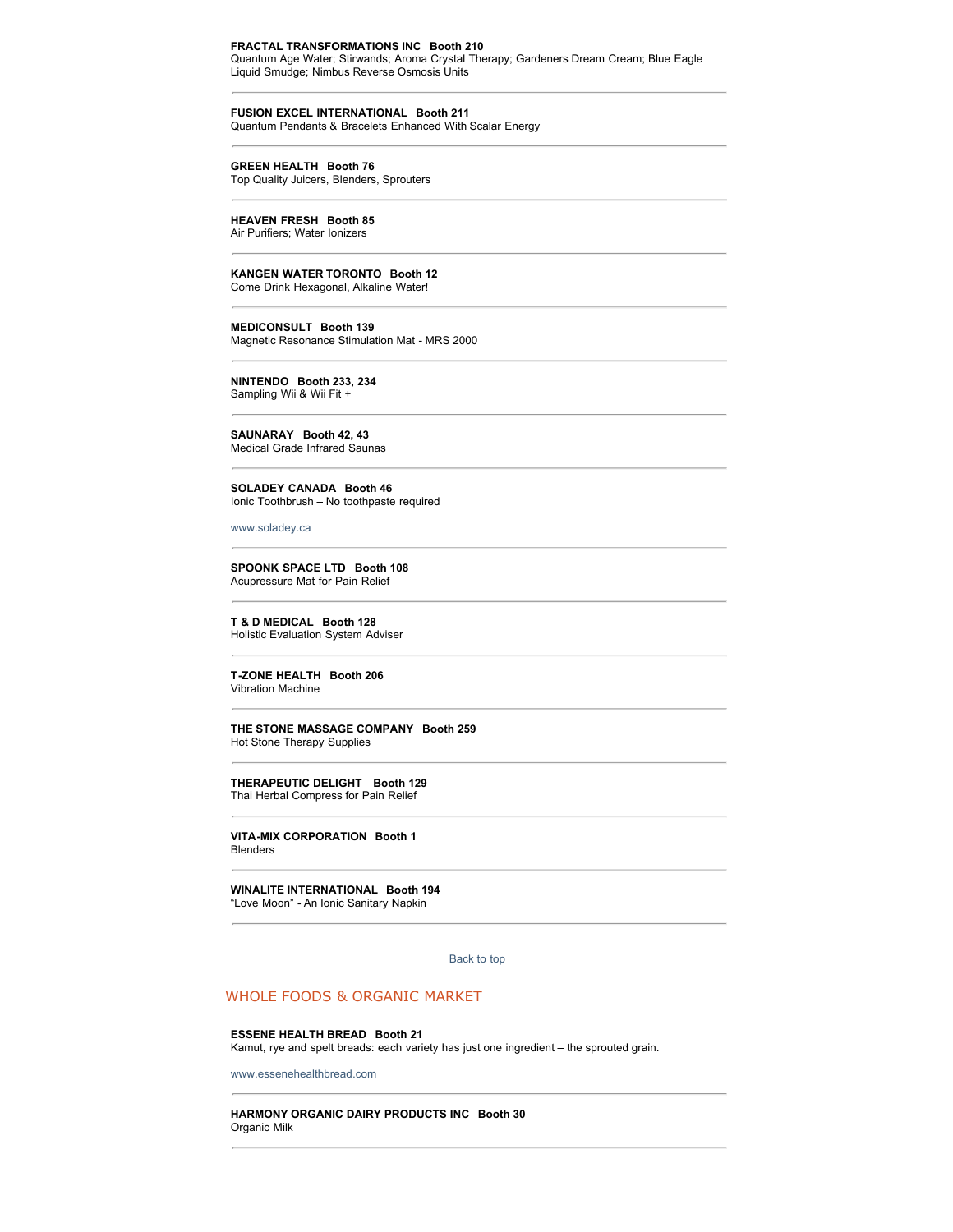#### **FRACTAL TRANSFORMATIONS INC Booth 210**

Quantum Age Water; Stirwands; Aroma Crystal Therapy; Gardeners Dream Cream; Blue Eagle Liquid Smudge; Nimbus Reverse Osmosis Units

**FUSION EXCEL INTERNATIONAL Booth 211** Quantum Pendants & Bracelets Enhanced With Scalar Energy

**GREEN HEALTH Booth 76**

Top Quality Juicers, Blenders, Sprouters

**HEAVEN FRESH Booth 85**  Air Purifiers; Water Ionizers

**KANGEN WATER TORONTO Booth 12** Come Drink Hexagonal, Alkaline Water!

**MEDICONSULT Booth 139** Magnetic Resonance Stimulation Mat - MRS 2000

**NINTENDO Booth 233, 234** Sampling Wii & Wii Fit +

**SAUNARAY Booth 42, 43** Medical Grade Infrared Saunas

**SOLADEY CANADA Booth 46** Ionic Toothbrush – No toothpaste required

[www.soladey.ca](http://www.soladey.ca/)

**SPOONK SPACE LTD Booth 108** Acupressure Mat for Pain Relief

**T & D MEDICAL Booth 128** Holistic Evaluation System Adviser

**T-ZONE HEALTH Booth 206** Vibration Machine

**THE STONE MASSAGE COMPANY Booth 259** Hot Stone Therapy Supplies

**THERAPEUTIC DELIGHT Booth 129** Thai Herbal Compress for Pain Relief

**VITA-MIX CORPORATION Booth 1** Blenders

**WINALITE INTERNATIONAL Booth 194**

"Love Moon" - An Ionic Sanitary Napkin

[Back to top](http://www.wholelifeexpo.ca/exhibitors.php#top) 

## WHOLE FOODS & ORGANIC MARKET

**ESSENE HEALTH BREAD Booth 21** Kamut, rye and spelt breads: each variety has just one ingredient – the sprouted grain.

[www.essenehealthbread.com](http://www.essenehealthbread.com/)

**HARMONY ORGANIC DAIRY PRODUCTS INC Booth 30** Organic Milk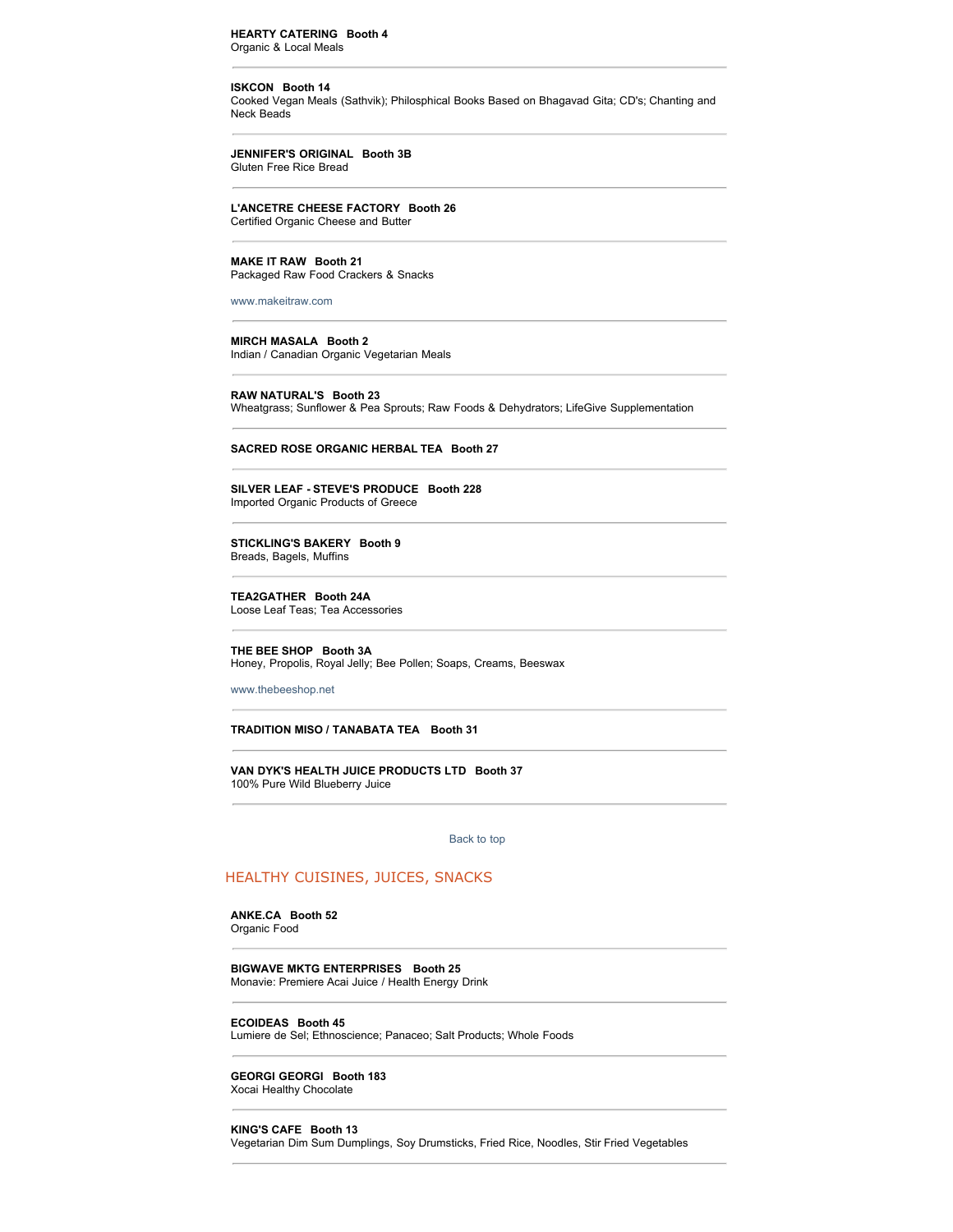#### **HEARTY CATERING Booth 4** Organic & Local Meals

**ISKCON Booth 14** Cooked Vegan Meals (Sathvik); Philosphical Books Based on Bhagavad Gita; CD's; Chanting and Neck Beads

**JENNIFER'S ORIGINAL Booth 3B** Gluten Free Rice Bread

**L'ANCETRE CHEESE FACTORY Booth 26**

Certified Organic Cheese and Butter

**MAKE IT RAW Booth 21** Packaged Raw Food Crackers & Snacks

[www.makeitraw.com](http://www.makeitraw.com/)

**MIRCH MASALA Booth 2** Indian / Canadian Organic Vegetarian Meals

**RAW NATURAL'S Booth 23** Wheatgrass; Sunflower & Pea Sprouts; Raw Foods & Dehydrators; LifeGive Supplementation

**SACRED ROSE ORGANIC HERBAL TEA Booth 27**

**SILVER LEAF - STEVE'S PRODUCE Booth 228** Imported Organic Products of Greece

**STICKLING'S BAKERY Booth 9** Breads, Bagels, Muffins

**TEA2GATHER Booth 24A** Loose Leaf Teas; Tea Accessories

**THE BEE SHOP Booth 3A** Honey, Propolis, Royal Jelly; Bee Pollen; Soaps, Creams, Beeswax

[www.thebeeshop.net](http://www.thebeeshop.net/)

#### **TRADITION MISO / TANABATA TEA Booth 31**

**VAN DYK'S HEALTH JUICE PRODUCTS LTD Booth 37** 100% Pure Wild Blueberry Juice

[Back to top](http://www.wholelifeexpo.ca/exhibitors.php#top) 

## HEALTHY CUISINES, JUICES, SNACKS

**ANKE.CA Booth 52**

Organic Food

**BIGWAVE MKTG ENTERPRISES Booth 25** Monavie: Premiere Acai Juice / Health Energy Drink

**ECOIDEAS Booth 45**

Lumiere de Sel; Ethnoscience; Panaceo; Salt Products; Whole Foods

**GEORGI GEORGI Booth 183** Xocai Healthy Chocolate

#### **KING'S CAFE Booth 13**

Vegetarian Dim Sum Dumplings, Soy Drumsticks, Fried Rice, Noodles, Stir Fried Vegetables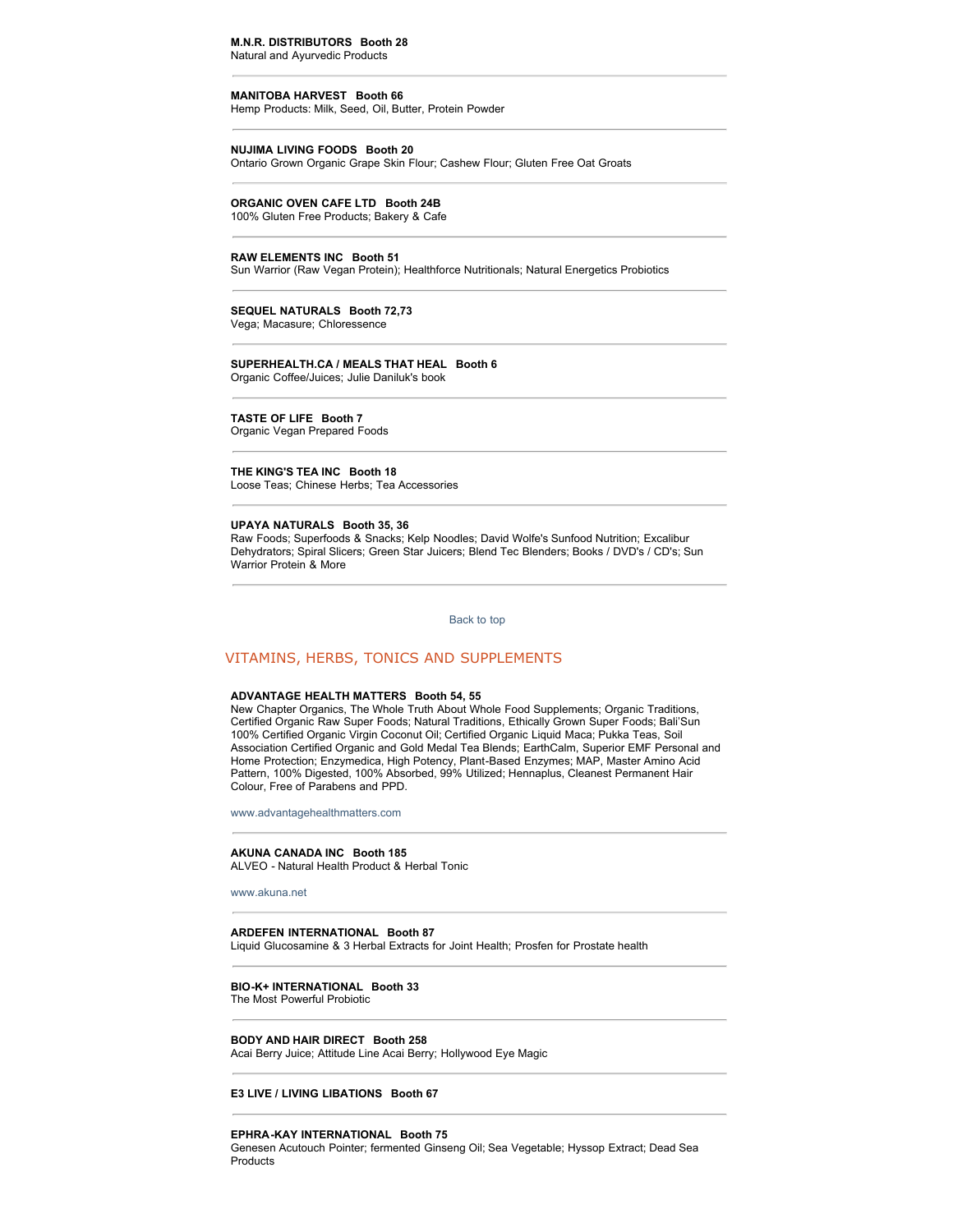## **M.N.R. DISTRIBUTORS Booth 28**

Natural and Ayurvedic Products

#### **MANITOBA HARVEST Booth 66**

Hemp Products: Milk, Seed, Oil, Butter, Protein Powder

#### **NUJIMA LIVING FOODS Booth 20**

Ontario Grown Organic Grape Skin Flour; Cashew Flour; Gluten Free Oat Groats

#### **ORGANIC OVEN CAFE LTD Booth 24B** 100% Gluten Free Products; Bakery & Cafe

#### **RAW ELEMENTS INC Booth 51**

Sun Warrior (Raw Vegan Protein); Healthforce Nutritionals; Natural Energetics Probiotics

**SEQUEL NATURALS Booth 72,73** Vega; Macasure; Chloressence

#### **SUPERHEALTH.CA / MEALS THAT HEAL Booth 6** Organic Coffee/Juices; Julie Daniluk's book

**TASTE OF LIFE Booth 7**

Organic Vegan Prepared Foods

**THE KING'S TEA INC Booth 18** Loose Teas; Chinese Herbs; Tea Accessories

#### **UPAYA NATURALS Booth 35, 36**

Raw Foods; Superfoods & Snacks; Kelp Noodles; David Wolfe's Sunfood Nutrition; Excalibur Dehydrators; Spiral Slicers; Green Star Juicers; Blend Tec Blenders; Books / DVD's / CD's; Sun Warrior Protein & More

[Back to top](http://www.wholelifeexpo.ca/exhibitors.php#top) 

## VITAMINS, HERBS, TONICS AND SUPPLEMENTS

#### **ADVANTAGE HEALTH MATTERS Booth 54, 55**

New Chapter Organics, The Whole Truth About Whole Food Supplements; Organic Traditions, Certified Organic Raw Super Foods; Natural Traditions, Ethically Grown Super Foods; Bali'Sun 100% Certified Organic Virgin Coconut Oil; Certified Organic Liquid Maca; Pukka Teas, Soil Association Certified Organic and Gold Medal Tea Blends; EarthCalm, Superior EMF Personal and Home Protection; Enzymedica, High Potency, Plant-Based Enzymes; MAP, Master Amino Acid Pattern, 100% Digested, 100% Absorbed, 99% Utilized; Hennaplus, Cleanest Permanent Hair Colour, Free of Parabens and PPD.

[www.advantagehealthmatters.com](http://www.advantagehealthmatters.com/)

#### **AKUNA CANADA INC Booth 185** ALVEO - Natural Health Product & Herbal Tonic

[www.akuna.net](http://www.akuna.net/)

#### **ARDEFEN INTERNATIONAL Booth 87**

Liquid Glucosamine & 3 Herbal Extracts for Joint Health; Prosfen for Prostate health

#### **BIO-K+ INTERNATIONAL Booth 33** The Most Powerful Probiotic

**BODY AND HAIR DIRECT Booth 258** Acai Berry Juice; Attitude Line Acai Berry; Hollywood Eye Magic

**E3 LIVE / LIVING LIBATIONS Booth 67**

#### **EPHRA-KAY INTERNATIONAL Booth 75**

Genesen Acutouch Pointer; fermented Ginseng Oil; Sea Vegetable; Hyssop Extract; Dead Sea Products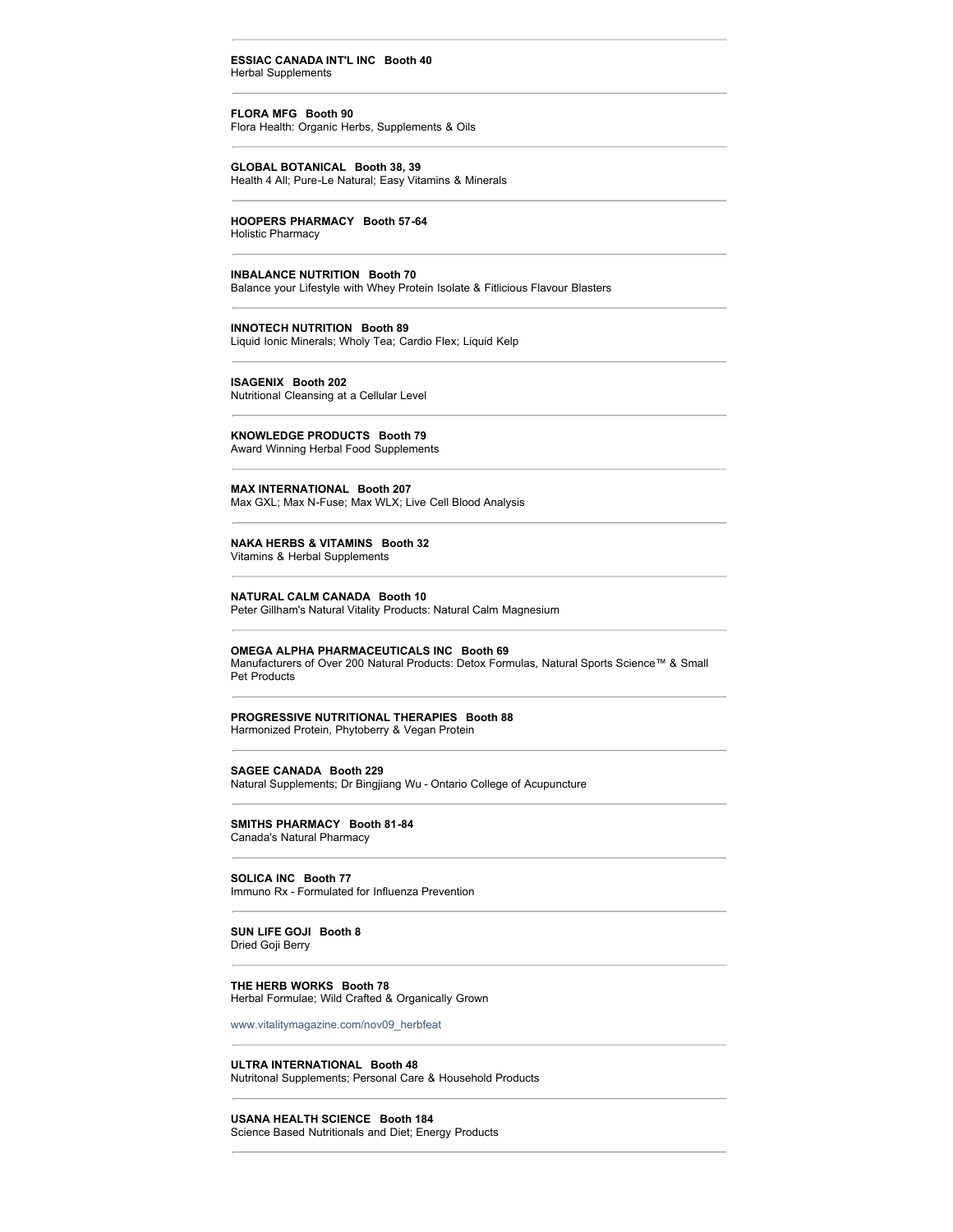#### **ESSIAC CANADA INT'L INC Booth 40** Herbal Supplements

**FLORA MFG Booth 90**

Flora Health: Organic Herbs, Supplements & Oils

**GLOBAL BOTANICAL Booth 38, 39**

Health 4 All; Pure-Le Natural; Easy Vitamins & Minerals

## **HOOPERS PHARMACY Booth 57-64**

Holistic Pharmacy

#### **INBALANCE NUTRITION Booth 70**

Balance your Lifestyle with Whey Protein Isolate & Fitlicious Flavour Blasters

#### **INNOTECH NUTRITION Booth 89**

Liquid Ionic Minerals; Wholy Tea; Cardio Flex; Liquid Kelp

## **ISAGENIX Booth 202**

Nutritional Cleansing at a Cellular Level

## **KNOWLEDGE PRODUCTS Booth 79**

Award Winning Herbal Food Supplements

**MAX INTERNATIONAL Booth 207** Max GXL; Max N-Fuse; Max WLX; Live Cell Blood Analysis

#### **NAKA HERBS & VITAMINS Booth 32** Vitamins & Herbal Supplements

### **NATURAL CALM CANADA Booth 10**

Peter Gillham's Natural Vitality Products: Natural Calm Magnesium

## **OMEGA ALPHA PHARMACEUTICALS INC Booth 69**

Manufacturers of Over 200 Natural Products: Detox Formulas, Natural Sports Science™ & Small Pet Products

#### **PROGRESSIVE NUTRITIONAL THERAPIES Booth 88** Harmonized Protein, Phytoberry & Vegan Protein

## **SAGEE CANADA Booth 229**

Natural Supplements; Dr Bingjiang Wu - Ontario College of Acupuncture

#### **SMITHS PHARMACY Booth 81-84** Canada's Natural Pharmacy

#### **SOLICA INC Booth 77** Immuno Rx - Formulated for Influenza Prevention

**SUN LIFE GOJI Booth 8** Dried Goji Berry

#### **THE HERB WORKS Booth 78**

Herbal Formulae; Wild Crafted & Organically Grown

[www.vitalitymagazine.com/nov09\\_herbfeat](http://www.vitalitymagazine.com/nov09_herbfeat)

#### **ULTRA INTERNATIONAL Booth 48**

Nutritonal Supplements; Personal Care & Household Products

#### **USANA HEALTH SCIENCE Booth 184**

Science Based Nutritionals and Diet; Energy Products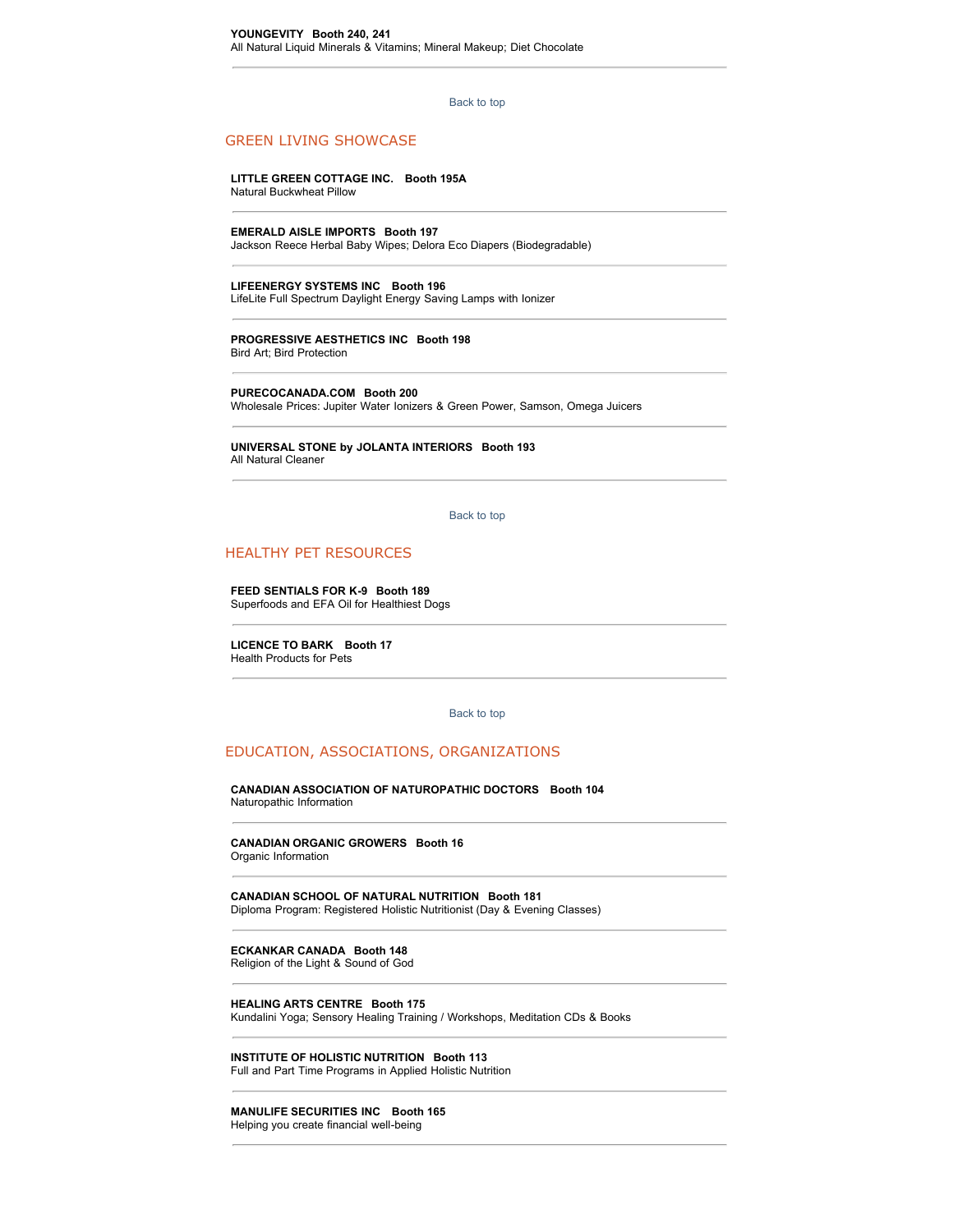#### [Back to top](http://www.wholelifeexpo.ca/exhibitors.php#top)

## GREEN LIVING SHOWCASE

**LITTLE GREEN COTTAGE INC. Booth 195A** Natural Buckwheat Pillow

**EMERALD AISLE IMPORTS Booth 197** Jackson Reece Herbal Baby Wipes; Delora Eco Diapers (Biodegradable)

**LIFEENERGY SYSTEMS INC Booth 196** LifeLite Full Spectrum Daylight Energy Saving Lamps with Ionizer

**PROGRESSIVE AESTHETICS INC Booth 198** Bird Art; Bird Protection

**PURECOCANADA.COM Booth 200** Wholesale Prices: Jupiter Water Ionizers & Green Power, Samson, Omega Juicers

**UNIVERSAL STONE by JOLANTA INTERIORS Booth 193** All Natural Cleaner

[Back to top](http://www.wholelifeexpo.ca/exhibitors.php#top) 

## HEALTHY PET RESOURCES

**FEED SENTIALS FOR K-9 Booth 189** Superfoods and EFA Oil for Healthiest Dogs

**LICENCE TO BARK Booth 17** Health Products for Pets

#### [Back to top](http://www.wholelifeexpo.ca/exhibitors.php#top)

#### EDUCATION, ASSOCIATIONS, ORGANIZATIONS

**CANADIAN ASSOCIATION OF NATUROPATHIC DOCTORS Booth 104** Naturopathic Information

**CANADIAN ORGANIC GROWERS Booth 16** Organic Information

**CANADIAN SCHOOL OF NATURAL NUTRITION Booth 181** Diploma Program: Registered Holistic Nutritionist (Day & Evening Classes)

**ECKANKAR CANADA Booth 148** Religion of the Light & Sound of God

**HEALING ARTS CENTRE Booth 175** Kundalini Yoga; Sensory Healing Training / Workshops, Meditation CDs & Books

**INSTITUTE OF HOLISTIC NUTRITION Booth 113** Full and Part Time Programs in Applied Holistic Nutrition

**MANULIFE SECURITIES INC Booth 165** Helping you create financial well-being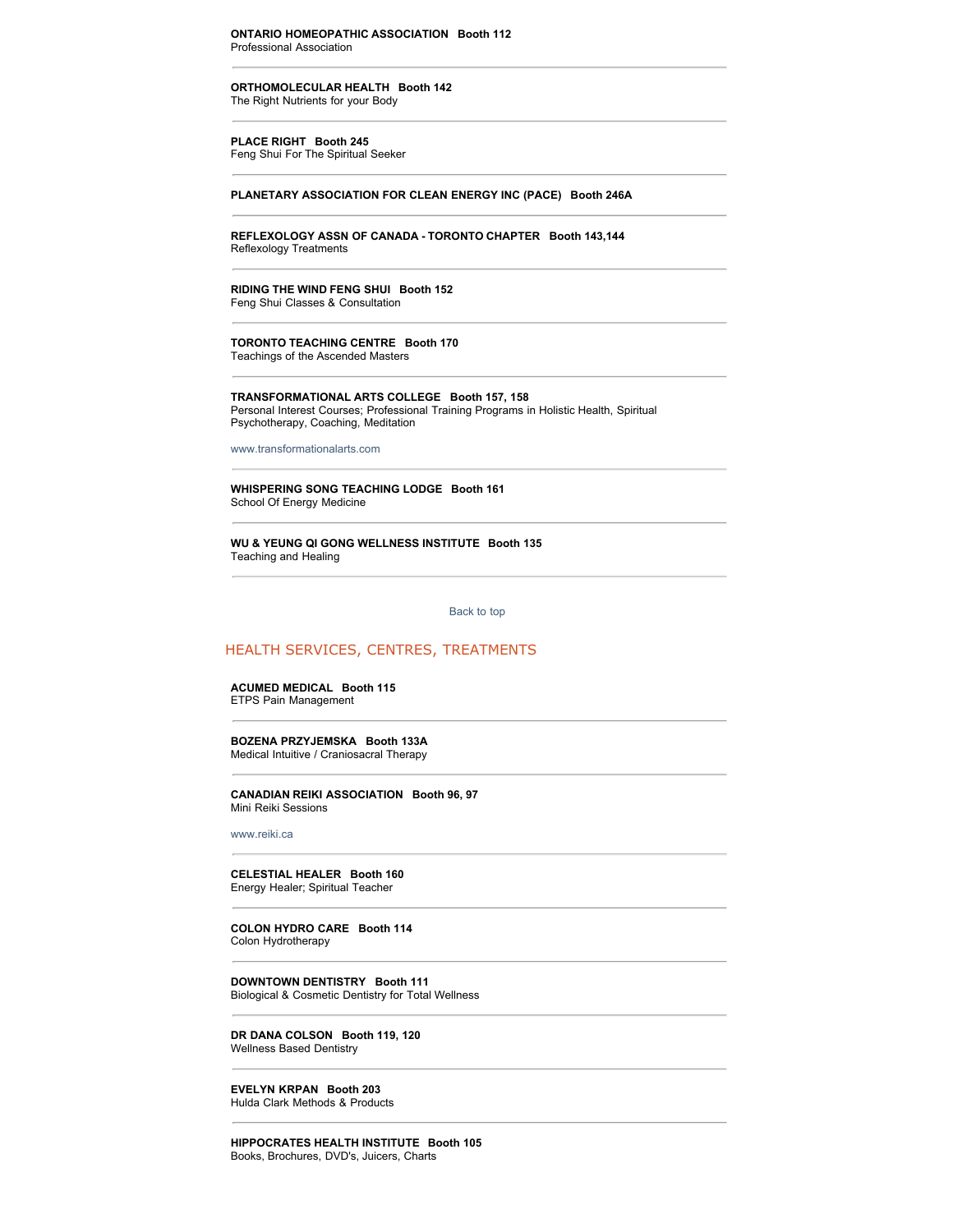**ORTHOMOLECULAR HEALTH Booth 142**

The Right Nutrients for your Body

#### **PLACE RIGHT Booth 245**

Feng Shui For The Spiritual Seeker

#### **PLANETARY ASSOCIATION FOR CLEAN ENERGY INC (PACE) Booth 246A**

**REFLEXOLOGY ASSN OF CANADA - TORONTO CHAPTER Booth 143,144** Reflexology Treatments

**RIDING THE WIND FENG SHUI Booth 152** Feng Shui Classes & Consultation

**TORONTO TEACHING CENTRE Booth 170** Teachings of the Ascended Masters

**TRANSFORMATIONAL ARTS COLLEGE Booth 157, 158** Personal Interest Courses; Professional Training Programs in Holistic Health, Spiritual Psychotherapy, Coaching, Meditation

[www.transformationalarts.com](http://www.transformationalarts.com/)

**WHISPERING SONG TEACHING LODGE Booth 161** School Of Energy Medicine

**WU & YEUNG QI GONG WELLNESS INSTITUTE Booth 135** Teaching and Healing

[Back to top](http://www.wholelifeexpo.ca/exhibitors.php#top) 

## HEALTH SERVICES, CENTRES, TREATMENTS

#### **ACUMED MEDICAL Booth 115** ETPS Pain Management

**BOZENA PRZYJEMSKA Booth 133A** Medical Intuitive / Craniosacral Therapy

**CANADIAN REIKI ASSOCIATION Booth 96, 97** Mini Reiki Sessions

[www.reiki.ca](http://www.reiki.ca/)

**CELESTIAL HEALER Booth 160** Energy Healer; Spiritual Teacher

**COLON HYDRO CARE Booth 114** Colon Hydrotherapy

**DOWNTOWN DENTISTRY Booth 111** Biological & Cosmetic Dentistry for Total Wellness

**DR DANA COLSON Booth 119, 120** Wellness Based Dentistry

**EVELYN KRPAN Booth 203** Hulda Clark Methods & Products

**HIPPOCRATES HEALTH INSTITUTE Booth 105** Books, Brochures, DVD's, Juicers, Charts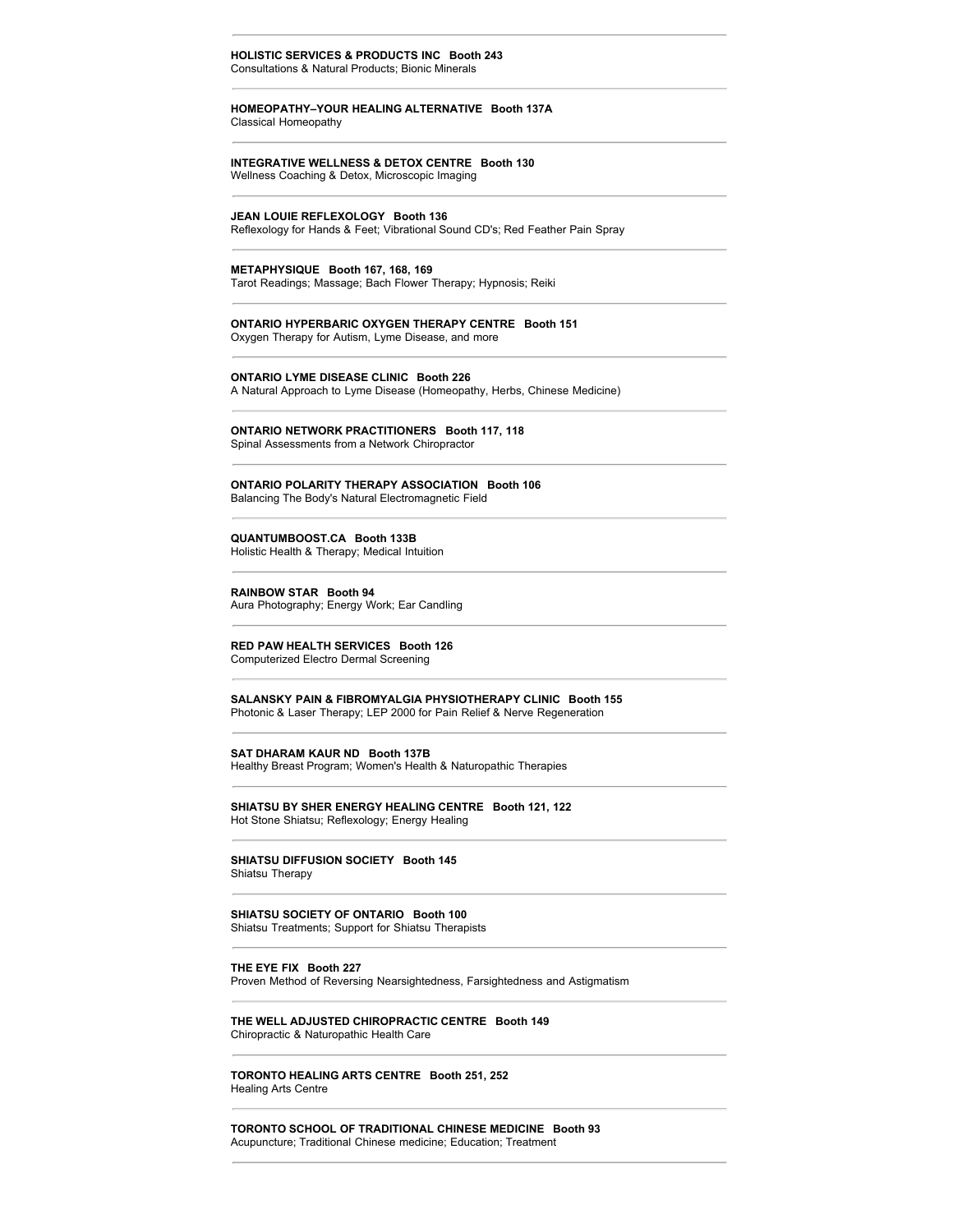#### **HOLISTIC SERVICES & PRODUCTS INC Booth 243** Consultations & Natural Products; Bionic Minerals

#### **HOMEOPATHY–YOUR HEALING ALTERNATIVE Booth 137A** Classical Homeopathy

## **INTEGRATIVE WELLNESS & DETOX CENTRE Booth 130**

Wellness Coaching & Detox, Microscopic Imaging

#### **JEAN LOUIE REFLEXOLOGY Booth 136**

Reflexology for Hands & Feet; Vibrational Sound CD's; Red Feather Pain Spray

#### **METAPHYSIQUE Booth 167, 168, 169**

Tarot Readings; Massage; Bach Flower Therapy; Hypnosis; Reiki

## **ONTARIO HYPERBARIC OXYGEN THERAPY CENTRE Booth 151**

Oxygen Therapy for Autism, Lyme Disease, and more

#### **ONTARIO LYME DISEASE CLINIC Booth 226**

A Natural Approach to Lyme Disease (Homeopathy, Herbs, Chinese Medicine)

#### **ONTARIO NETWORK PRACTITIONERS Booth 117, 118** Spinal Assessments from a Network Chiropractor

#### **ONTARIO POLARITY THERAPY ASSOCIATION Booth 106** Balancing The Body's Natural Electromagnetic Field

#### **QUANTUMBOOST.CA Booth 133B** Holistic Health & Therapy; Medical Intuition

#### **RAINBOW STAR Booth 94**

Aura Photography; Energy Work; Ear Candling

#### **RED PAW HEALTH SERVICES Booth 126** Computerized Electro Dermal Screening

**SALANSKY PAIN & FIBROMYALGIA PHYSIOTHERAPY CLINIC Booth 155** Photonic & Laser Therapy; LEP 2000 for Pain Relief & Nerve Regeneration

#### **SAT DHARAM KAUR ND Booth 137B**

Healthy Breast Program; Women's Health & Naturopathic Therapies

#### **SHIATSU BY SHER ENERGY HEALING CENTRE Booth 121, 122** Hot Stone Shiatsu; Reflexology; Energy Healing

**SHIATSU DIFFUSION SOCIETY Booth 145** Shiatsu Therapy

#### **SHIATSU SOCIETY OF ONTARIO Booth 100**

Shiatsu Treatments; Support for Shiatsu Therapists

#### **THE EYE FIX Booth 227**

Proven Method of Reversing Nearsightedness, Farsightedness and Astigmatism

#### **THE WELL ADJUSTED CHIROPRACTIC CENTRE Booth 149** Chiropractic & Naturopathic Health Care

#### **TORONTO HEALING ARTS CENTRE Booth 251, 252** Healing Arts Centre

**TORONTO SCHOOL OF TRADITIONAL CHINESE MEDICINE Booth 93** Acupuncture; Traditional Chinese medicine; Education; Treatment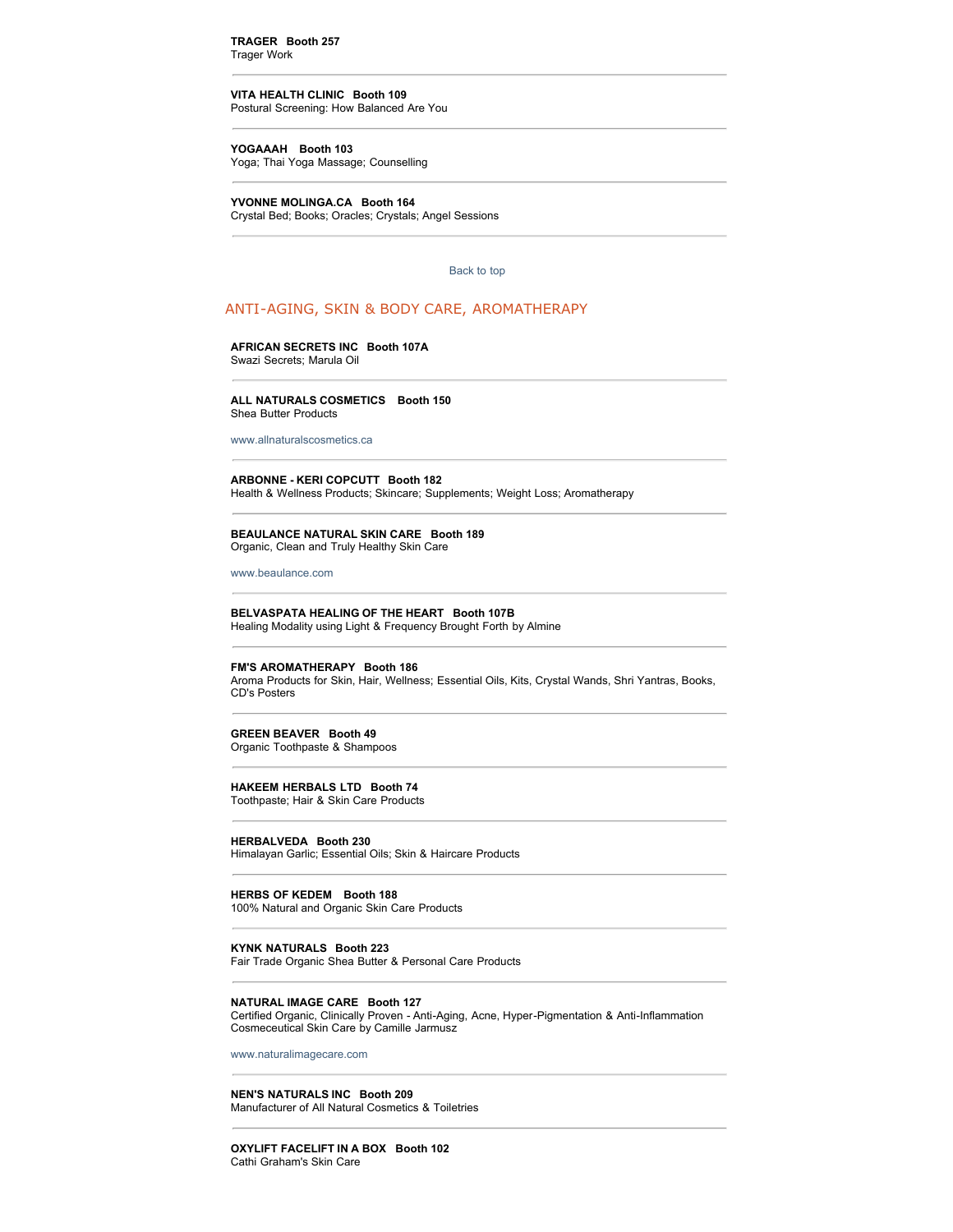**TRAGER Booth 257** Trager Work

## **VITA HEALTH CLINIC Booth 109**

Postural Screening: How Balanced Are You

#### **YOGAAAH Booth 103**

Yoga; Thai Yoga Massage; Counselling

**YVONNE MOLINGA.CA Booth 164**  Crystal Bed; Books; Oracles; Crystals; Angel Sessions

[Back to top](http://www.wholelifeexpo.ca/exhibitors.php#top) 

## ANTI-AGING, SKIN & BODY CARE, AROMATHERAPY

## **AFRICAN SECRETS INC Booth 107A**

Swazi Secrets; Marula Oil

#### **ALL NATURALS COSMETICS Booth 150** Shea Butter Products

[www.allnaturalscosmetics.ca](http://www.allnaturalscosmetics.ca/)

#### **ARBONNE - KERI COPCUTT Booth 182**

Health & Wellness Products; Skincare; Supplements; Weight Loss; Aromatherapy

#### **BEAULANCE NATURAL SKIN CARE Booth 189** Organic, Clean and Truly Healthy Skin Care

[www.beaulance.com](http://www.beaulance.com/)

#### **BELVASPATA HEALING OF THE HEART Booth 107B** Healing Modality using Light & Frequency Brought Forth by Almine

#### **FM'S AROMATHERAPY Booth 186**

Aroma Products for Skin, Hair, Wellness; Essential Oils, Kits, Crystal Wands, Shri Yantras, Books, CD's Posters

#### **GREEN BEAVER Booth 49**

Organic Toothpaste & Shampoos

#### **HAKEEM HERBALS LTD Booth 74**

Toothpaste; Hair & Skin Care Products

#### **HERBALVEDA Booth 230**

Himalayan Garlic; Essential Oils; Skin & Haircare Products

**HERBS OF KEDEM Booth 188** 100% Natural and Organic Skin Care Products

## **KYNK NATURALS Booth 223**

Fair Trade Organic Shea Butter & Personal Care Products

#### **NATURAL IMAGE CARE Booth 127**

Certified Organic, Clinically Proven - Anti-Aging, Acne, Hyper-Pigmentation & Anti-Inflammation Cosmeceutical Skin Care by Camille Jarmusz

[www.naturalimagecare.com](http://www.naturalimagecare.com/)

#### **NEN'S NATURALS INC Booth 209**

Manufacturer of All Natural Cosmetics & Toiletries

#### **OXYLIFT FACELIFT IN A BOX Booth 102** Cathi Graham's Skin Care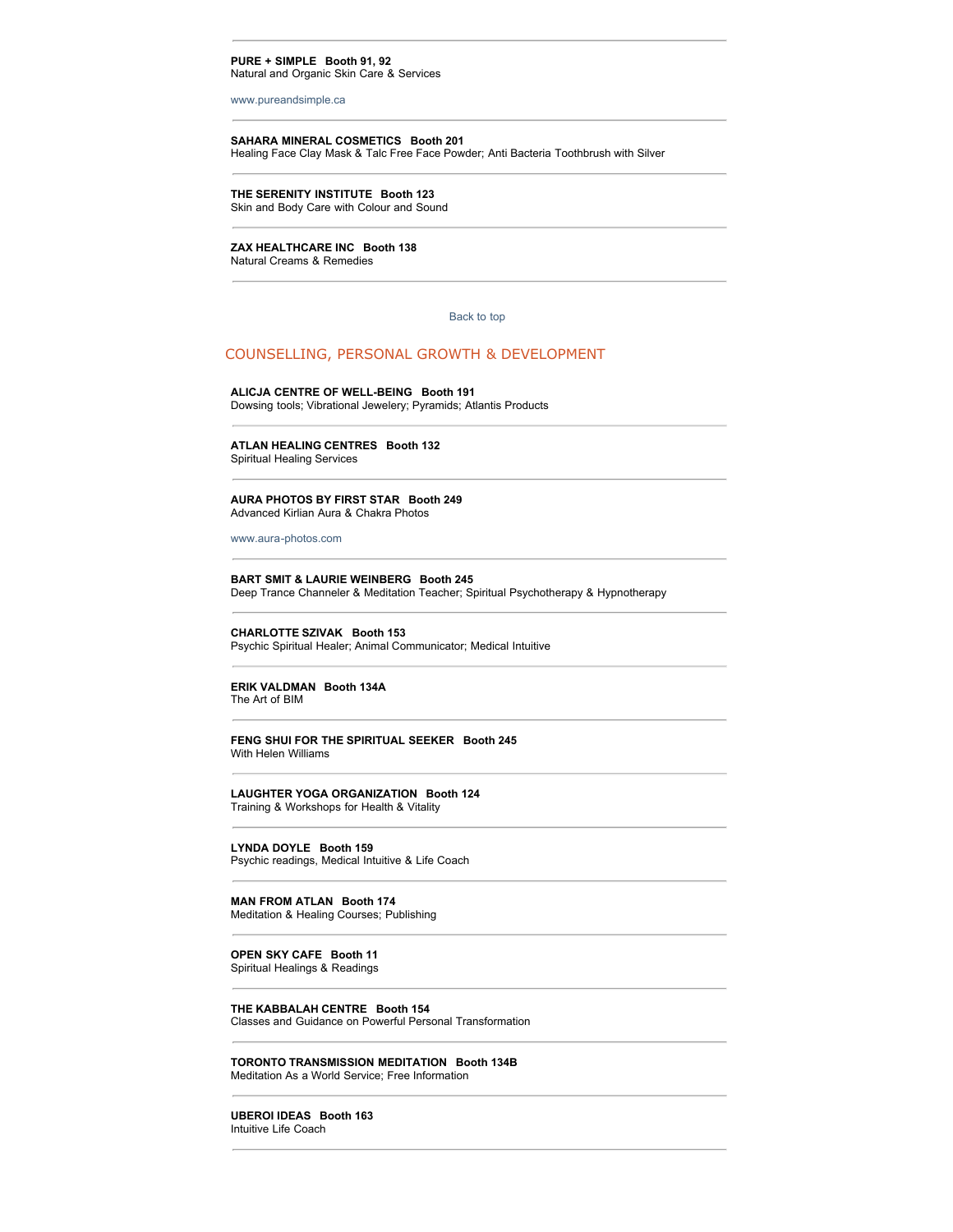#### **PURE + SIMPLE Booth 91, 92** Natural and Organic Skin Care & Services

[www.pureandsimple.ca](http://www.pureandsimple.ca/)

#### **SAHARA MINERAL COSMETICS Booth 201**

Healing Face Clay Mask & Talc Free Face Powder; Anti Bacteria Toothbrush with Silver

## **THE SERENITY INSTITUTE Booth 123**

Skin and Body Care with Colour and Sound

## **ZAX HEALTHCARE INC Booth 138**

Natural Creams & Remedies

#### [Back to top](http://www.wholelifeexpo.ca/exhibitors.php#top)

#### COUNSELLING, PERSONAL GROWTH & DEVELOPMENT

#### **ALICJA CENTRE OF WELL-BEING Booth 191**

Dowsing tools; Vibrational Jewelery; Pyramids; Atlantis Products

#### **ATLAN HEALING CENTRES Booth 132** Spiritual Healing Services

#### **AURA PHOTOS BY FIRST STAR Booth 249** Advanced Kirlian Aura & Chakra Photos

[www.aura-photos.com](http://www.aura-photos.com/)

#### **BART SMIT & LAURIE WEINBERG Booth 245** Deep Trance Channeler & Meditation Teacher; Spiritual Psychotherapy & Hypnotherapy

#### **CHARLOTTE SZIVAK Booth 153** Psychic Spiritual Healer; Animal Communicator; Medical Intuitive

#### **ERIK VALDMAN Booth 134A** The Art of BIM

#### **FENG SHUI FOR THE SPIRITUAL SEEKER Booth 245** With Helen Williams

#### **LAUGHTER YOGA ORGANIZATION Booth 124** Training & Workshops for Health & Vitality

**LYNDA DOYLE Booth 159** Psychic readings, Medical Intuitive & Life Coach

#### **MAN FROM ATLAN Booth 174** Meditation & Healing Courses; Publishing

#### **OPEN SKY CAFE Booth 11** Spiritual Healings & Readings

**THE KABBALAH CENTRE Booth 154** Classes and Guidance on Powerful Personal Transformation

#### **TORONTO TRANSMISSION MEDITATION Booth 134B** Meditation As a World Service; Free Information

**UBEROI IDEAS Booth 163** Intuitive Life Coach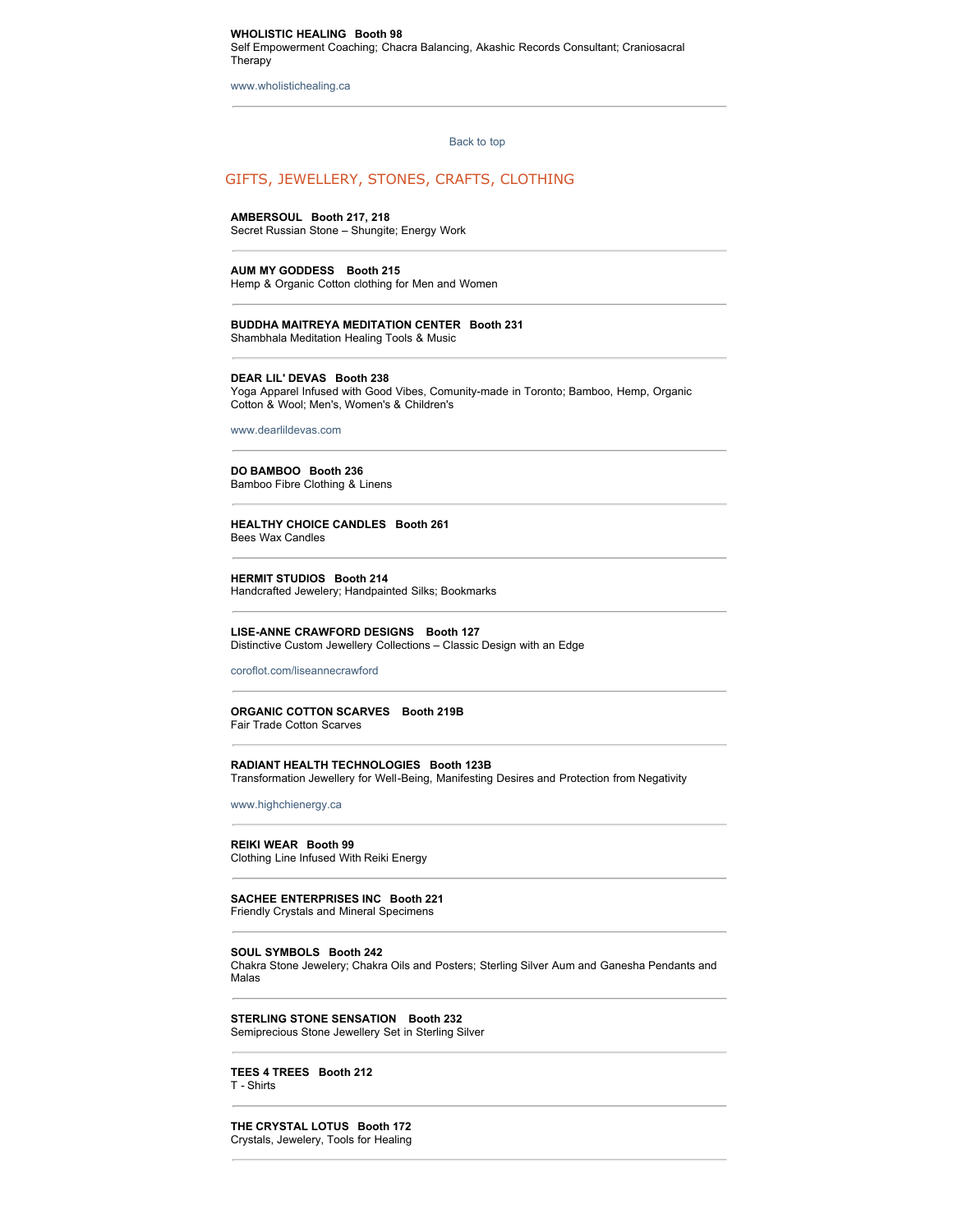#### **WHOLISTIC HEALING Booth 98** Self Empowerment Coaching; Chacra Balancing, Akashic Records Consultant; Craniosacral Therapy

[www.wholistichealing.ca](http://www.wholistichealing.ca/)

[Back to top](http://www.wholelifeexpo.ca/exhibitors.php#top) 

## GIFTS, JEWELLERY, STONES, CRAFTS, CLOTHING

#### **AMBERSOUL Booth 217, 218**

Secret Russian Stone – Shungite; Energy Work

#### **AUM MY GODDESS Booth 215**

Hemp & Organic Cotton clothing for Men and Women

#### **BUDDHA MAITREYA MEDITATION CENTER Booth 231**

Shambhala Meditation Healing Tools & Music

#### **DEAR LIL' DEVAS Booth 238**

Yoga Apparel Infused with Good Vibes, Comunity-made in Toronto; Bamboo, Hemp, Organic Cotton & Wool; Men's, Women's & Children's

[www.dearlildevas.com](http://www.dearlildevas.com/)

#### **DO BAMBOO Booth 236** Bamboo Fibre Clothing & Linens

**HEALTHY CHOICE CANDLES Booth 261** Bees Wax Candles

#### **HERMIT STUDIOS Booth 214** Handcrafted Jewelery; Handpainted Silks; Bookmarks

**LISE-ANNE CRAWFORD DESIGNS Booth 127** Distinctive Custom Jewellery Collections – Classic Design with an Edge

#### [coroflot.com/liseannecrawford](http://coroflot.com/liseannecrawford)

## **ORGANIC COTTON SCARVES Booth 219B**

Fair Trade Cotton Scarves

#### **RADIANT HEALTH TECHNOLOGIES Booth 123B** Transformation Jewellery for Well-Being, Manifesting Desires and Protection from Negativity

[www.highchienergy.ca](http://www.highchienergy.ca/)

#### **REIKI WEAR Booth 99** Clothing Line Infused With Reiki Energy

#### **SACHEE ENTERPRISES INC Booth 221** Friendly Crystals and Mineral Specimens

#### **SOUL SYMBOLS Booth 242**

Chakra Stone Jewelery; Chakra Oils and Posters; Sterling Silver Aum and Ganesha Pendants and Malas

**STERLING STONE SENSATION Booth 232** Semiprecious Stone Jewellery Set in Sterling Silver

#### **TEES 4 TREES Booth 212** T - Shirts

**THE CRYSTAL LOTUS Booth 172** Crystals, Jewelery, Tools for Healing